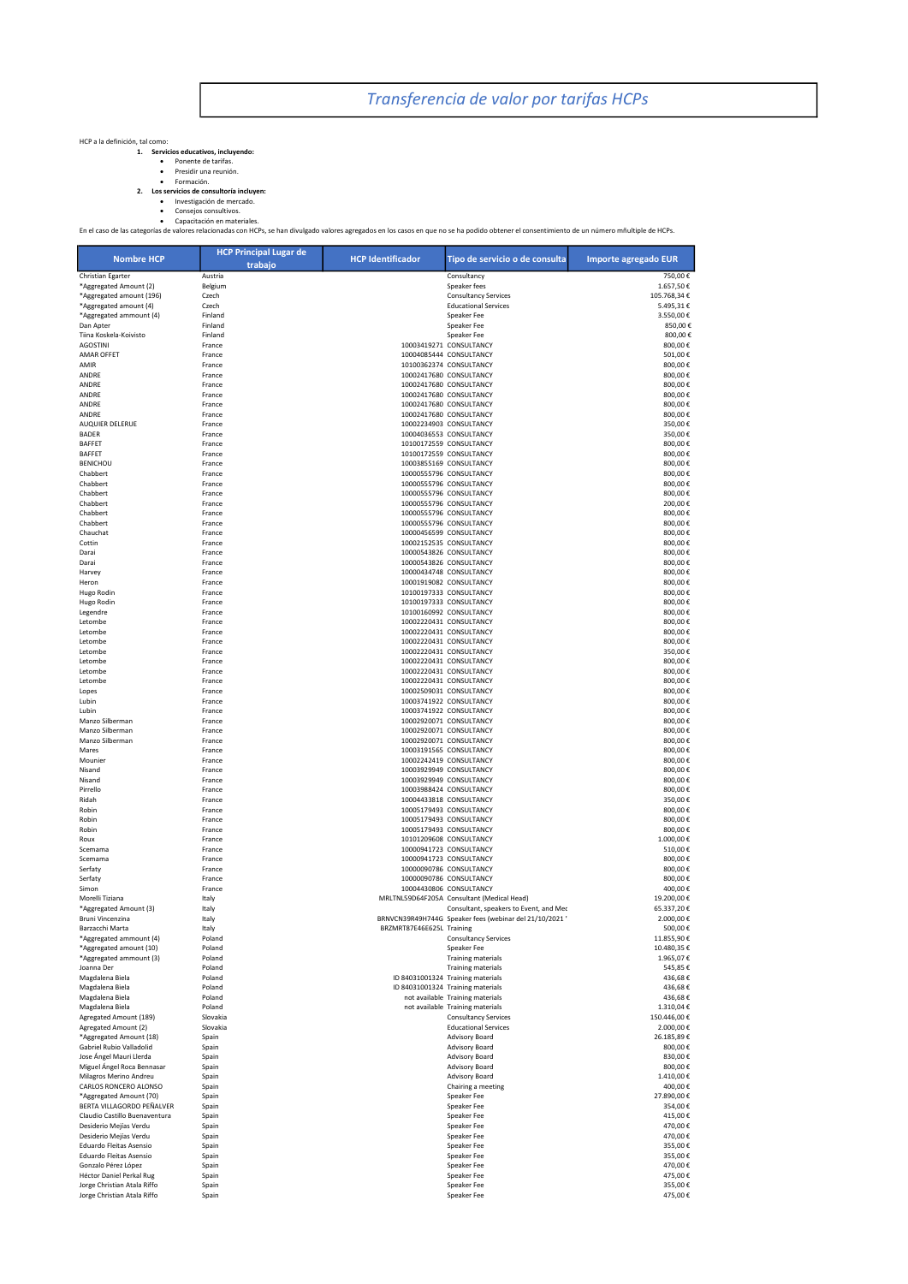Transferencia de valor por tarifas HCPs

## HCP a la definición, tal como:

- -
- 
- 

1. Servicios educativos, incluyendo:<br>• Presidir una reunión.<br>• Formación.<br>• Formación de nercado.<br>• Consejos consultivos.<br>• Consejos consultivos.<br>• Consejos consultivos.<br>• Consejos consultivos.<br>• Consejos consultivos.<br>• Co

| <b>Nombre HCP</b>                                  | <b>HCP Principal Lugar de</b><br>trabajo | <b>HCP Identificador</b>  | Tipo de servicio o de consulta                          | Importe agregado EUR      |
|----------------------------------------------------|------------------------------------------|---------------------------|---------------------------------------------------------|---------------------------|
| Christian Egarter                                  | Austria                                  |                           | Consultancy                                             | 750,00€                   |
| *Aggregated Amount (2)                             | Belgium                                  |                           | Speaker fees                                            | 1.657.50€                 |
| *Aggregated amount (196)                           | Czech                                    |                           | <b>Consultancy Services</b>                             | 105.768,34€               |
| *Aggregated amount (4)                             | Czech                                    |                           | <b>Educational Services</b>                             | 5.495,31€                 |
| *Aggregated ammount (4)                            | Finland                                  |                           | Speaker Fee                                             | 3.550,00€                 |
| Dan Apter                                          | Finland                                  |                           | Speaker Fee                                             | 850,00€                   |
| Tiina Koskela-Koivisto                             | Finland                                  |                           | Speaker Fee                                             | 800,00€                   |
| <b>AGOSTINI</b><br><b>AMAR OFFET</b>               | France<br>France                         |                           | 10003419271 CONSULTANCY<br>10004085444 CONSULTANCY      | 800,00€<br>501,00€        |
| AMIR                                               | France                                   |                           | 10100362374 CONSULTANCY                                 | 800,00€                   |
| ANDRE                                              | France                                   |                           | 10002417680 CONSULTANCY                                 | 800,00€                   |
| ANDRE                                              | France                                   |                           | 10002417680 CONSULTANCY                                 | 800,00€                   |
| ANDRE                                              | France                                   |                           | 10002417680 CONSULTANCY                                 | 800,00€                   |
| ANDRE                                              | France                                   |                           | 10002417680 CONSULTANCY                                 | 800,00€                   |
| ANDRE                                              | France                                   |                           | 10002417680 CONSULTANCY                                 | 800,00€                   |
| AUQUIER DELERUE<br><b>BADER</b>                    | France<br>France                         |                           | 10002234903 CONSULTANCY<br>10004036553 CONSULTANCY      | 350,00€<br>350,00€        |
| <b>BAFFET</b>                                      | France                                   |                           | 10100172559 CONSULTANCY                                 | 800,00€                   |
| <b>BAFFET</b>                                      | France                                   |                           | 10100172559 CONSULTANCY                                 | 800,00€                   |
| <b>BENICHOU</b>                                    | France                                   |                           | 10003855169 CONSULTANCY                                 | 800,00€                   |
| Chabbert                                           | France                                   |                           | 10000555796 CONSULTANCY                                 | 800,00€                   |
| Chabbert                                           | France                                   |                           | 10000555796 CONSULTANCY                                 | 800,00€                   |
| Chabbert                                           | France                                   |                           | 10000555796 CONSULTANCY                                 | 800,00€                   |
| Chabbert                                           | France                                   |                           | 10000555796 CONSULTANCY                                 | 200,00€                   |
| Chabbert<br>Chabbert                               | France<br>France                         |                           | 10000555796 CONSULTANCY<br>10000555796 CONSULTANCY      | 800,00€<br>800,00€        |
| Chauchat                                           | France                                   |                           | 10000456599 CONSULTANCY                                 | 800,00€                   |
| Cottin                                             | France                                   |                           | 10002152535 CONSULTANCY                                 | 800,00€                   |
| Darai                                              | France                                   |                           | 10000543826 CONSULTANCY                                 | 800,00€                   |
| Darai                                              | France                                   |                           | 10000543826 CONSULTANCY                                 | 800,00€                   |
| Harvey                                             | France                                   |                           | 10000434748 CONSULTANCY                                 | 800,00€                   |
| Heron                                              | France                                   |                           | 10001919082 CONSULTANCY                                 | 800,00€                   |
| Hugo Rodin<br>Hugo Rodin                           | France<br>France                         |                           | 10100197333 CONSULTANCY<br>10100197333 CONSULTANCY      | 800,00€<br>800,00€        |
| Legendre                                           | France                                   |                           | 10100160992 CONSULTANCY                                 | 800,00€                   |
| Letombe                                            | France                                   |                           | 10002220431 CONSULTANCY                                 | 800,00€                   |
| Letombe                                            | France                                   |                           | 10002220431 CONSULTANCY                                 | 800,00€                   |
| Letombe                                            | France                                   |                           | 10002220431 CONSULTANCY                                 | 800,00€                   |
| Letombe                                            | France                                   |                           | 10002220431 CONSULTANCY                                 | 350,00€                   |
| Letombe                                            | France                                   |                           | 10002220431 CONSULTANCY                                 | 800,00€                   |
| Letombe<br>Letombe                                 | France<br>France                         |                           | 10002220431 CONSULTANCY<br>10002220431 CONSULTANCY      | 800,00€<br>800,00€        |
| Lopes                                              | France                                   |                           | 10002509031 CONSULTANCY                                 | 800,00€                   |
| Lubin                                              | France                                   |                           | 10003741922 CONSULTANCY                                 | 800,00€                   |
| Lubin                                              | France                                   |                           | 10003741922 CONSULTANCY                                 | 800,00€                   |
| Manzo Silberman                                    | France                                   |                           | 10002920071 CONSULTANCY                                 | 800,00€                   |
| Manzo Silberman                                    | France                                   |                           | 10002920071 CONSULTANCY                                 | 800,00€                   |
| Manzo Silberman                                    | France                                   |                           | 10002920071 CONSULTANCY                                 | 800,00€                   |
| Mares                                              | France                                   |                           | 10003191565 CONSULTANCY                                 | 800,00€                   |
| Mounier<br>Nisand                                  | France<br>France                         |                           | 10002242419 CONSULTANCY<br>10003929949 CONSULTANCY      | 800,00€<br>800,00€        |
| Nisand                                             | France                                   |                           | 10003929949 CONSULTANCY                                 | 800,00€                   |
| Pirrello                                           | France                                   |                           | 10003988424 CONSULTANCY                                 | 800,00€                   |
| Ridah                                              | France                                   |                           | 10004433818 CONSULTANCY                                 | 350,00€                   |
| Robin                                              | France                                   |                           | 10005179493 CONSULTANCY                                 | 800,00€                   |
| Robin                                              | France                                   |                           | 10005179493 CONSULTANCY                                 | 800,00€                   |
| Robin                                              | France                                   |                           | 10005179493 CONSULTANCY                                 | 800,00€                   |
| Roux                                               | France                                   |                           | 10101209608 CONSULTANCY<br>10000941723 CONSULTANCY      | 1.000,00€<br>510,00€      |
| Scemama<br>Scemama                                 | France<br>France                         |                           | 10000941723 CONSULTANCY                                 | 800,00€                   |
| Serfaty                                            | France                                   |                           | 10000090786 CONSULTANCY                                 | 800,00€                   |
| Serfaty                                            | France                                   |                           | 10000090786 CONSULTANCY                                 | 800,00€                   |
| Simon                                              | France                                   |                           | 10004430806 CONSULTANCY                                 | 400,00€                   |
| Morelli Tiziana                                    | Italy                                    |                           | MRLTNL59D64F205A Consultant (Medical Head)              | 19.200,00€                |
| *Aggregated Amount (3)                             | Italy                                    |                           | Consultant, speakers to Event, and Mec                  | 65.337,20€                |
| Bruni Vincenzina                                   | Italy                                    |                           | BRNVCN39R49H744G Speaker fees (webinar del 21/10/2021 ' | 2.000,00€                 |
| Barzacchi Marta                                    | Italy                                    | BRZMRT87E46E625L Training |                                                         | 500.00 f                  |
| *Aggregated ammount (4)                            | Poland                                   |                           | <b>Consultancy Services</b><br>Speaker Fee              | 11.855,90 €<br>10.480,35€ |
| *Aggregated amount (10)<br>*Aggregated ammount (3) | Poland<br>Poland                         |                           | <b>Training materials</b>                               | 1.965,07€                 |
| Joanna Der                                         | Poland                                   |                           | <b>Training materials</b>                               | 545,85€                   |
| Magdalena Biela                                    | Poland                                   |                           | ID 84031001324 Training materials                       | 436,68€                   |
| Magdalena Biela                                    | Poland                                   |                           | ID 84031001324 Training materials                       | 436,68€                   |
| Magdalena Biela                                    | Poland                                   |                           | not available Training materials                        | 436,68€                   |
| Magdalena Biela                                    | Poland                                   |                           | not available Training materials                        | 1.310,04€                 |
| Agregated Amount (189)                             | Slovakia                                 |                           | <b>Consultancy Services</b>                             | 150.446,00 €              |
| Agregated Amount (2)<br>*Aggregated Amount (18)    | Slovakia                                 |                           | <b>Educational Services</b>                             | 2.000,00€                 |
| Gabriel Rubio Valladolid                           | Spain<br>Spain                           |                           | Advisory Board<br><b>Advisory Board</b>                 | 26.185,89€<br>800,00€     |
| Jose Ángel Mauri Llerda                            | Spain                                    |                           | <b>Advisory Board</b>                                   | 830,00€                   |
| Miguel Ángel Roca Bennasar                         | Spain                                    |                           | Advisory Board                                          | 800,00€                   |
| Milagros Merino Andreu                             | Spain                                    |                           | Advisory Board                                          | 1.410,00€                 |
| CARLOS RONCERO ALONSO                              | Spain                                    |                           | Chairing a meeting                                      | 400,00€                   |
| *Aggregated Amount (70)                            | Spain                                    |                           | Speaker Fee                                             | 27.890,00€                |
| BERTA VILLAGORDO PEÑALVER                          | Spain                                    |                           | Speaker Fee                                             | 354,00€                   |
| Claudio Castillo Buenaventura                      | Spain                                    |                           | Speaker Fee                                             | 415,00€                   |
| Desiderio Mejías Verdu<br>Desiderio Mejías Verdu   | Spain                                    |                           | Speaker Fee<br>Speaker Fee                              | 470,00€<br>470,00€        |
| Eduardo Fleitas Asensio                            | Spain<br>Spain                           |                           | Speaker Fee                                             | 355,00€                   |
| Eduardo Fleitas Asensio                            | Spain                                    |                           | Speaker Fee                                             | 355,00€                   |
| Gonzalo Pérez López                                | Spain                                    |                           | Speaker Fee                                             | 470,00€                   |
| Héctor Daniel Perkal Rug                           | Spain                                    |                           | Speaker Fee                                             | 475,00€                   |
| Jorge Christian Atala Riffo                        | Spain                                    |                           | Speaker Fee                                             | 355,00€                   |
| Jorge Christian Atala Riffo                        | Spain                                    |                           | Speaker Fee                                             | 475,00€                   |